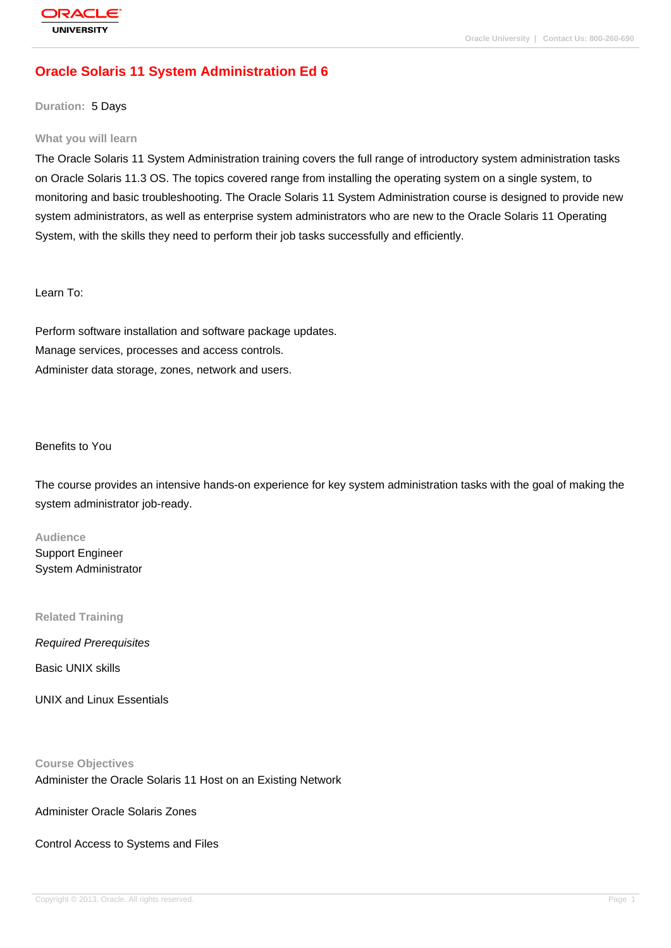# **[Oracle Solaris](http://education.oracle.com/pls/web_prod-plq-dad/db_pages.getpage?page_id=3) 11 System Administration Ed 6**

**Duration:** 5 Days

#### **What you will learn**

The Oracle Solaris 11 System Administration training covers the full range of introductory system administration tasks on Oracle Solaris 11.3 OS. The topics covered range from installing the operating system on a single system, to monitoring and basic troubleshooting. The Oracle Solaris 11 System Administration course is designed to provide new system administrators, as well as enterprise system administrators who are new to the Oracle Solaris 11 Operating System, with the skills they need to perform their job tasks successfully and efficiently.

Learn To:

Perform software installation and software package updates. Manage services, processes and access controls. Administer data storage, zones, network and users.

#### Benefits to You

The course provides an intensive hands-on experience for key system administration tasks with the goal of making the system administrator job-ready.

#### **Audience**

Support Engineer System Administrator

**Related Training**

Required Prerequisites

Basic UNIX skills

UNIX and Linux Essentials

**Course Objectives** Administer the Oracle Solaris 11 Host on an Existing Network

Administer Oracle Solaris Zones

Control Access to Systems and Files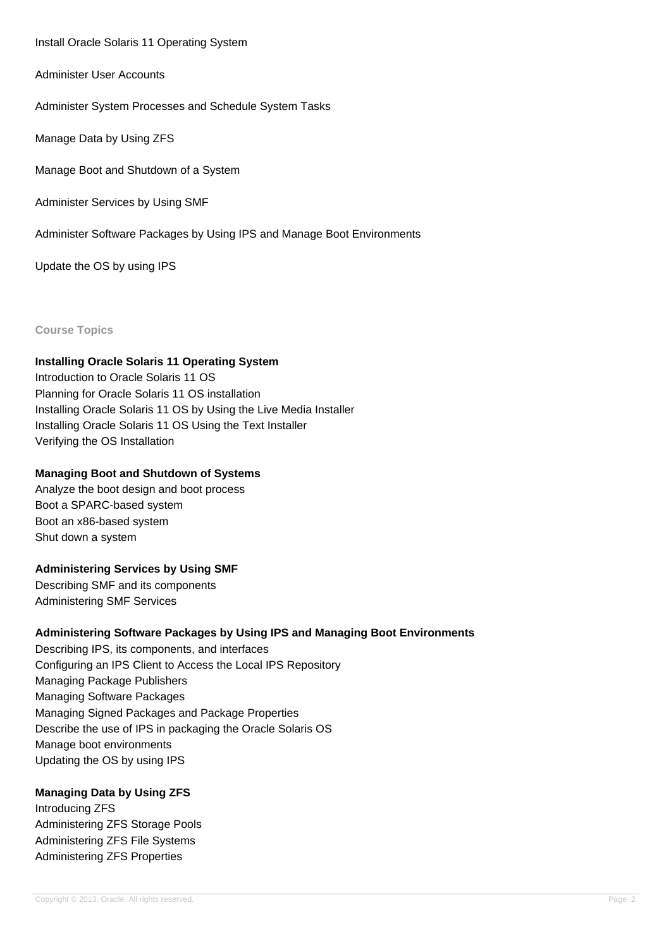Install Oracle Solaris 11 Operating System

Administer User Accounts

Administer System Processes and Schedule System Tasks

Manage Data by Using ZFS

Manage Boot and Shutdown of a System

Administer Services by Using SMF

Administer Software Packages by Using IPS and Manage Boot Environments

Update the OS by using IPS

**Course Topics**

### **Installing Oracle Solaris 11 Operating System**

Introduction to Oracle Solaris 11 OS Planning for Oracle Solaris 11 OS installation Installing Oracle Solaris 11 OS by Using the Live Media Installer Installing Oracle Solaris 11 OS Using the Text Installer Verifying the OS Installation

#### **Managing Boot and Shutdown of Systems**

Analyze the boot design and boot process Boot a SPARC-based system Boot an x86-based system Shut down a system

### **Administering Services by Using SMF**

Describing SMF and its components Administering SMF Services

### **Administering Software Packages by Using IPS and Managing Boot Environments**

Describing IPS, its components, and interfaces Configuring an IPS Client to Access the Local IPS Repository Managing Package Publishers Managing Software Packages Managing Signed Packages and Package Properties Describe the use of IPS in packaging the Oracle Solaris OS Manage boot environments Updating the OS by using IPS

### **Managing Data by Using ZFS**

Introducing ZFS Administering ZFS Storage Pools Administering ZFS File Systems Administering ZFS Properties